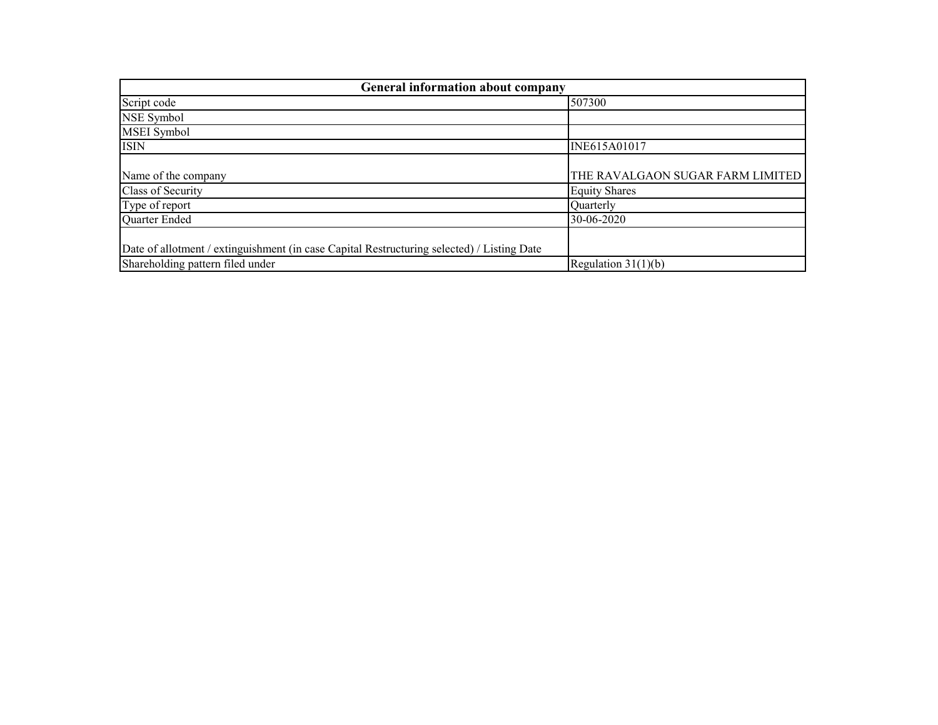| <b>General information about company</b>                                                   |                                  |  |  |  |  |  |  |  |  |  |
|--------------------------------------------------------------------------------------------|----------------------------------|--|--|--|--|--|--|--|--|--|
| Script code                                                                                | 507300                           |  |  |  |  |  |  |  |  |  |
| NSE Symbol                                                                                 |                                  |  |  |  |  |  |  |  |  |  |
| MSEI Symbol                                                                                |                                  |  |  |  |  |  |  |  |  |  |
| <b>ISIN</b>                                                                                | INE615A01017                     |  |  |  |  |  |  |  |  |  |
| Name of the company                                                                        | THE RAVALGAON SUGAR FARM LIMITED |  |  |  |  |  |  |  |  |  |
| Class of Security                                                                          | <b>Equity Shares</b>             |  |  |  |  |  |  |  |  |  |
| Type of report                                                                             | Ouarterly                        |  |  |  |  |  |  |  |  |  |
| Quarter Ended                                                                              | 30-06-2020                       |  |  |  |  |  |  |  |  |  |
| Date of allotment / extinguishment (in case Capital Restructuring selected) / Listing Date |                                  |  |  |  |  |  |  |  |  |  |
| Shareholding pattern filed under                                                           | Regulation $31(1)(b)$            |  |  |  |  |  |  |  |  |  |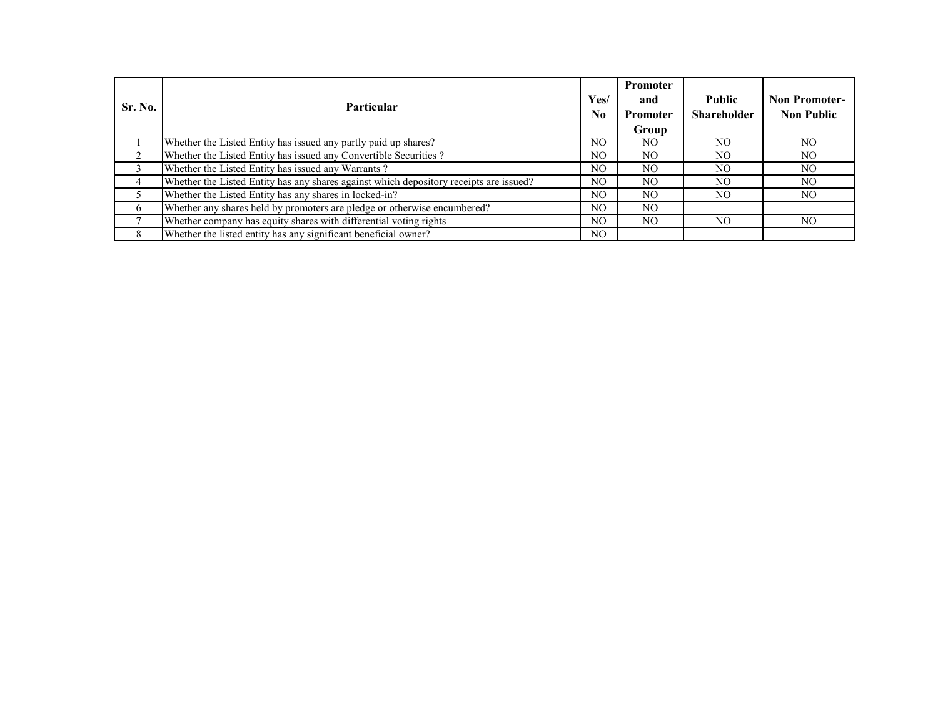| Sr. No. | <b>Particular</b>                                                                      | Yes/<br>N <sub>0</sub> | Promoter<br>and<br><b>Promoter</b><br>Group | <b>Public</b><br><b>Shareholder</b> | <b>Non Promoter-</b><br><b>Non Public</b> |
|---------|----------------------------------------------------------------------------------------|------------------------|---------------------------------------------|-------------------------------------|-------------------------------------------|
|         | Whether the Listed Entity has issued any partly paid up shares?                        | NO.                    | NO.                                         | NO.                                 | N <sub>O</sub>                            |
|         | Whether the Listed Entity has issued any Convertible Securities?                       | NO.                    | NO.                                         | NO.                                 | NO.                                       |
|         | Whether the Listed Entity has issued any Warrants?                                     | NO.                    | NO.                                         | NO.                                 | NO.                                       |
| 4       | Whether the Listed Entity has any shares against which depository receipts are issued? | NO.                    | NO.                                         | NO.                                 | NO.                                       |
|         | Whether the Listed Entity has any shares in locked-in?                                 | NO.                    | NO.                                         | NO.                                 | NO.                                       |
| 6       | Whether any shares held by promoters are pledge or otherwise encumbered?               | NO.                    | NO.                                         |                                     |                                           |
|         | Whether company has equity shares with differential voting rights                      | NO.                    | NO.                                         | NO.                                 | NO.                                       |
| 8       | Whether the listed entity has any significant beneficial owner?                        | N <sub>O</sub>         |                                             |                                     |                                           |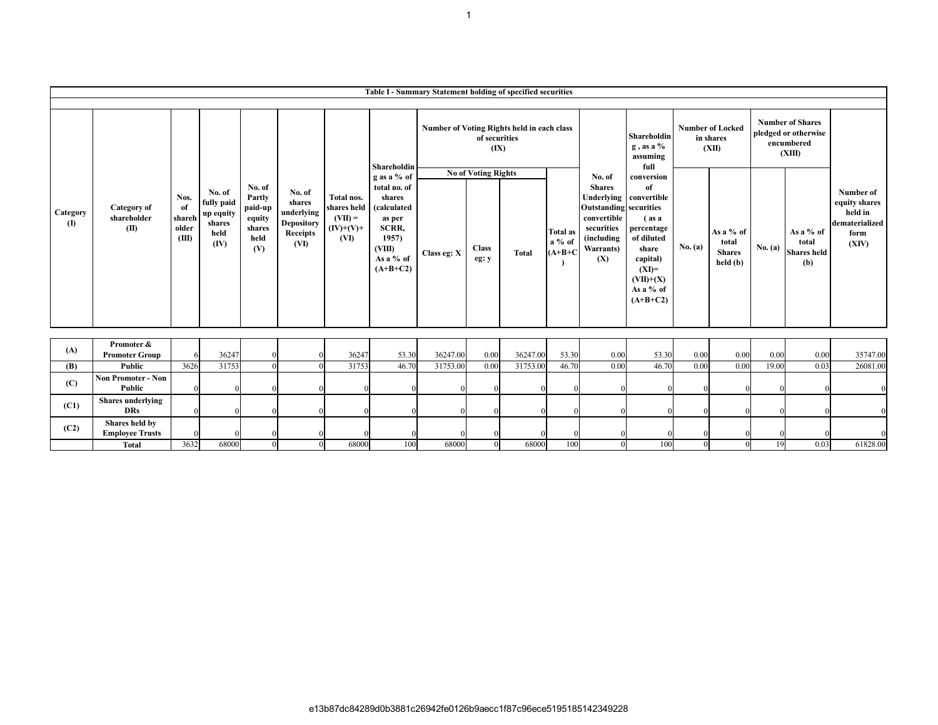|                          | Table I - Summary Statement holding of specified securities |                                        |                                                             |                                                                |                                                                  |                                                               |                                                                                                                       |                                            |                            |              |                                          |                                                                                                                                         |                                                                                                                   |         |                                                 |         |                                                                         |                                                                          |
|--------------------------|-------------------------------------------------------------|----------------------------------------|-------------------------------------------------------------|----------------------------------------------------------------|------------------------------------------------------------------|---------------------------------------------------------------|-----------------------------------------------------------------------------------------------------------------------|--------------------------------------------|----------------------------|--------------|------------------------------------------|-----------------------------------------------------------------------------------------------------------------------------------------|-------------------------------------------------------------------------------------------------------------------|---------|-------------------------------------------------|---------|-------------------------------------------------------------------------|--------------------------------------------------------------------------|
|                          |                                                             |                                        |                                                             |                                                                |                                                                  |                                                               |                                                                                                                       |                                            |                            |              |                                          |                                                                                                                                         |                                                                                                                   |         |                                                 |         |                                                                         |                                                                          |
|                          |                                                             |                                        |                                                             |                                                                |                                                                  |                                                               | Shareholdin                                                                                                           | Number of Voting Rights held in each class | of securities<br>(IX)      |              |                                          |                                                                                                                                         | Shareholdin<br>$g$ , as a $%$<br>assuming<br>full                                                                 |         | <b>Number of Locked</b><br>in shares<br>(XII)   |         | <b>Number of Shares</b><br>pledged or otherwise<br>encumbered<br>(XIII) |                                                                          |
|                          |                                                             |                                        |                                                             |                                                                |                                                                  |                                                               |                                                                                                                       |                                            | <b>No of Voting Rights</b> |              |                                          | No. of                                                                                                                                  | conversion                                                                                                        |         |                                                 |         |                                                                         |                                                                          |
| Category<br>$\mathbf{I}$ | Category of<br>shareholder<br>(II)                          | Nos.<br>of<br>shareh<br>older<br>(III) | No. of<br>fully paid<br>up equity<br>shares<br>held<br>(IV) | No. of<br>Partly<br>paid-up<br>equity<br>shares<br>held<br>(V) | No. of<br>shares<br>underlying<br>Depository<br>Receipts<br>(VI) | Total nos.<br>shares held<br>$(VII) =$<br>$(IV)+(V)+$<br>(VI) | g as a % of<br>total no. of<br>shares<br>(calculated<br>as per<br>SCRR,<br>1957)<br>(VIII)<br>As a % of<br>$(A+B+C2)$ | Class eg: X                                | <b>Class</b><br>eg: y      | <b>Total</b> | <b>Total as</b><br>$a\%$ of<br>$(A+B+C)$ | <b>Shares</b><br>Underlying convertible<br><b>Outstanding</b> securities<br>convertible<br>securities<br>(including<br>Warrants)<br>(X) | of<br>(as a<br>percentage<br>of diluted<br>share<br>capital)<br>$(XI)=$<br>$(VII)+(X)$<br>As a % of<br>$(A+B+C2)$ | No. (a) | As a % of<br>total<br><b>Shares</b><br>held (b) | No. (a) | As a % of<br>total<br><b>Shares</b> held<br>(b)                         | Number of<br>equity shares<br>held in<br>dematerialized<br>form<br>(XIV) |
| (A)                      | Promoter &                                                  |                                        |                                                             |                                                                |                                                                  |                                                               |                                                                                                                       |                                            |                            |              |                                          |                                                                                                                                         |                                                                                                                   |         |                                                 |         |                                                                         |                                                                          |
|                          | <b>Promoter Group</b>                                       | 6                                      | 36247                                                       |                                                                |                                                                  | 36247                                                         | 53.30                                                                                                                 | 36247.00                                   | 0.00                       | 36247.00     | 53.30                                    | 0.00                                                                                                                                    | 53.30                                                                                                             | 0.00    | 0.00                                            | 0.00    | 0.00                                                                    | 35747.00                                                                 |
| (B)                      | Public                                                      | 3626                                   | 31753                                                       | $\Omega$                                                       |                                                                  | 31753                                                         | 46.70                                                                                                                 | 31753.00                                   | 0.00                       | 31753.00     | 46.70                                    | 0.00                                                                                                                                    | 46.70                                                                                                             | 0.00    | 0.00                                            | 19.00   | 0.03                                                                    | 26081.00                                                                 |
| (C)                      | <b>Non Promoter - Non</b><br>Public                         |                                        |                                                             |                                                                |                                                                  |                                                               |                                                                                                                       |                                            |                            |              |                                          |                                                                                                                                         |                                                                                                                   |         |                                                 |         |                                                                         |                                                                          |
| (C1)                     | <b>Shares</b> underlying<br><b>DRs</b>                      |                                        |                                                             |                                                                |                                                                  |                                                               |                                                                                                                       |                                            |                            |              |                                          |                                                                                                                                         |                                                                                                                   |         |                                                 |         |                                                                         |                                                                          |
| (C2)                     | Shares held by<br><b>Employee Trusts</b>                    |                                        |                                                             |                                                                |                                                                  |                                                               |                                                                                                                       |                                            |                            |              |                                          |                                                                                                                                         |                                                                                                                   |         |                                                 |         |                                                                         |                                                                          |
|                          | <b>Total</b>                                                | 3632                                   | 68000                                                       | $\overline{0}$                                                 | $\theta$                                                         | 68000                                                         | 100                                                                                                                   | 68000                                      |                            | 68000        | 100                                      | $\Omega$                                                                                                                                | 100                                                                                                               |         | $\sqrt{ }$                                      | 19      | 0.03                                                                    | 61828.00                                                                 |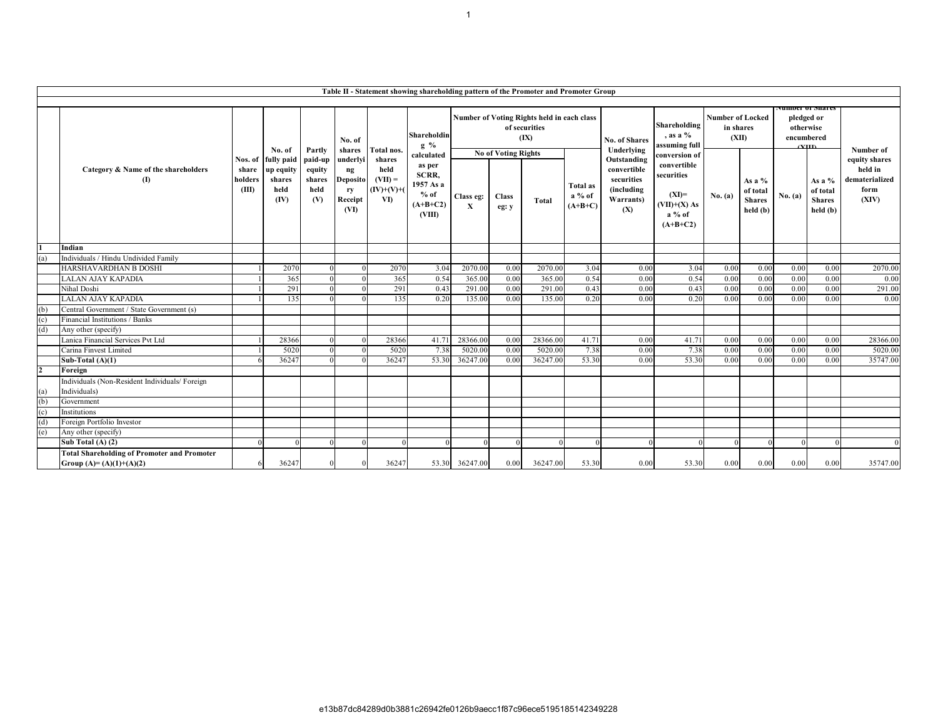|                          | Table II - Statement showing shareholding pattern of the Promoter and Promoter Group |                           |                                                                     |                                                      |                                                                                          |                                                                    |                                                                                                           |                                                                     |                                                     |          |                                          |                                                                                          |                                                                                                 |                                               |                                                 |                                                      |                                                 |                                                             |
|--------------------------|--------------------------------------------------------------------------------------|---------------------------|---------------------------------------------------------------------|------------------------------------------------------|------------------------------------------------------------------------------------------|--------------------------------------------------------------------|-----------------------------------------------------------------------------------------------------------|---------------------------------------------------------------------|-----------------------------------------------------|----------|------------------------------------------|------------------------------------------------------------------------------------------|-------------------------------------------------------------------------------------------------|-----------------------------------------------|-------------------------------------------------|------------------------------------------------------|-------------------------------------------------|-------------------------------------------------------------|
| лишрег от <b>э</b> паге: |                                                                                      |                           |                                                                     |                                                      |                                                                                          |                                                                    |                                                                                                           |                                                                     |                                                     |          |                                          |                                                                                          |                                                                                                 |                                               |                                                 |                                                      |                                                 |                                                             |
|                          |                                                                                      | share<br>holders<br>(III) |                                                                     |                                                      | No. of                                                                                   | Total nos.<br>shares<br>held<br>$(VII) =$<br>$(IV)+(V)+(V)$<br>VI) | Shareholdin<br>$g \gamma$<br>calculated<br>as per<br>SCRR,<br>1957 As a<br>$%$ of<br>$(A+B+C2)$<br>(VIII) | Number of Voting Rights held in each class<br>of securities<br>(IX) |                                                     |          |                                          | No. of Shares                                                                            | Shareholding<br>$, as a \%$<br>assuming full                                                    | <b>Number of Locked</b><br>in shares<br>(XII) |                                                 | pledged or<br>otherwise<br>encumbered<br><b>TIID</b> |                                                 | Number of                                                   |
|                          | Category & Name of the shareholders<br>$\mathbf{I}$                                  |                           | No. of<br>Nos. of fully paid<br>up equity<br>shares<br>held<br>(IV) | Partly<br>paid-up<br>equity<br>shares<br>held<br>(V) | shares<br>underlyi<br>$\mathbf{n}\mathbf{g}$<br><b>Deposito</b><br>ry<br>Receipt<br>(VI) |                                                                    |                                                                                                           | Class eg:<br>$\mathbf{X}$                                           | <b>No of Voting Rights</b><br><b>Class</b><br>eg: y | Total    | <b>Total as</b><br>$a\%$ of<br>$(A+B+C)$ | Underlying<br>Outstanding<br>convertible<br>securities<br>(including<br>Warrants)<br>(X) | conversion of<br>convertible<br>securities<br>$(XI)=$<br>$(VII)+(X) As$<br>a % of<br>$(A+B+C2)$ | No. (a)                                       | As a %<br>of total<br><b>Shares</b><br>held (b) | No. (a)                                              | As a %<br>of total<br><b>Shares</b><br>held (b) | equity shares<br>held in<br>dematerialized<br>form<br>(XIV) |
|                          | Indian                                                                               |                           |                                                                     |                                                      |                                                                                          |                                                                    |                                                                                                           |                                                                     |                                                     |          |                                          |                                                                                          |                                                                                                 |                                               |                                                 |                                                      |                                                 |                                                             |
| (a)                      | Individuals / Hindu Undivided Family                                                 |                           |                                                                     |                                                      |                                                                                          |                                                                    |                                                                                                           |                                                                     |                                                     |          |                                          |                                                                                          |                                                                                                 |                                               |                                                 |                                                      |                                                 |                                                             |
|                          | HARSHAVARDHAN B DOSHI                                                                |                           | 2070                                                                |                                                      |                                                                                          | 2070                                                               | 3.04                                                                                                      | 2070.00                                                             | 0.00                                                | 2070.00  | 3.04                                     | 0.00                                                                                     | 3.04                                                                                            | 0.00                                          | 0.00                                            | 0.00                                                 | 0.00                                            | 2070.00                                                     |
|                          | LALAN AJAY KAPADIA                                                                   |                           | 365                                                                 |                                                      |                                                                                          | 365                                                                | 0.54                                                                                                      | 365.00                                                              | 0.00                                                | 365.00   | 0.54                                     | 0.00                                                                                     | 0.54                                                                                            | 0.00                                          | 0.00                                            | 0.00                                                 | 0.00                                            | 0.00                                                        |
|                          | Nihal Doshi                                                                          |                           | 291                                                                 |                                                      |                                                                                          | 291                                                                | 0.43                                                                                                      | 291.00                                                              | 0.00                                                | 291.00   | 0.43                                     | 0.00                                                                                     | 0.43                                                                                            | 0.00                                          | 0.00                                            | 0.00                                                 | 0.00                                            | 291.00                                                      |
|                          | <b>LALAN AJAY KAPADIA</b>                                                            |                           | 135                                                                 |                                                      |                                                                                          | 135                                                                | 0.20                                                                                                      | 135.00                                                              | 0.00                                                | 135.00   | 0.20                                     | 0.00                                                                                     | 0.20                                                                                            | 0.00                                          | 0.00                                            | 0.00                                                 | 0.00                                            | 0.00                                                        |
| (b)                      | Central Government / State Government (s)                                            |                           |                                                                     |                                                      |                                                                                          |                                                                    |                                                                                                           |                                                                     |                                                     |          |                                          |                                                                                          |                                                                                                 |                                               |                                                 |                                                      |                                                 |                                                             |
| (c)                      | Financial Institutions / Banks                                                       |                           |                                                                     |                                                      |                                                                                          |                                                                    |                                                                                                           |                                                                     |                                                     |          |                                          |                                                                                          |                                                                                                 |                                               |                                                 |                                                      |                                                 |                                                             |
| (d)                      | Any other (specify)                                                                  |                           |                                                                     |                                                      |                                                                                          |                                                                    |                                                                                                           |                                                                     |                                                     |          |                                          |                                                                                          |                                                                                                 |                                               |                                                 |                                                      |                                                 |                                                             |
|                          | Lanica Financial Services Pvt Ltd                                                    |                           | 28366                                                               |                                                      |                                                                                          | 28366                                                              | 41.71                                                                                                     | 28366.00                                                            | 0.00                                                | 28366.00 | 41.71                                    | 0.00                                                                                     | 41.71                                                                                           | 0.00                                          | 0.00                                            | 0.00                                                 | 0.00                                            | 28366.00                                                    |
|                          | Carina Finvest Limited                                                               |                           | 5020                                                                |                                                      |                                                                                          | 5020                                                               | 7.38                                                                                                      | 5020.00                                                             | 0.00                                                | 5020.00  | 7.38                                     | 0.00                                                                                     | 7.38                                                                                            | 0.00                                          | 0.00                                            | 0.00                                                 | 0.00                                            | 5020.00                                                     |
|                          | Sub-Total $(A)(1)$                                                                   |                           | 36247                                                               |                                                      |                                                                                          | 36247                                                              | 53.30                                                                                                     | 36247.00                                                            | 0.00                                                | 36247.00 | 53.30                                    | 0.00                                                                                     | 53.30                                                                                           | 0.00                                          | 0.00                                            | 0.00                                                 | 0.00                                            | 35747.00                                                    |
| $\overline{2}$           | Foreign                                                                              |                           |                                                                     |                                                      |                                                                                          |                                                                    |                                                                                                           |                                                                     |                                                     |          |                                          |                                                                                          |                                                                                                 |                                               |                                                 |                                                      |                                                 |                                                             |
|                          | Individuals (Non-Resident Individuals/Foreign                                        |                           |                                                                     |                                                      |                                                                                          |                                                                    |                                                                                                           |                                                                     |                                                     |          |                                          |                                                                                          |                                                                                                 |                                               |                                                 |                                                      |                                                 |                                                             |
| (a)                      | Individuals)                                                                         |                           |                                                                     |                                                      |                                                                                          |                                                                    |                                                                                                           |                                                                     |                                                     |          |                                          |                                                                                          |                                                                                                 |                                               |                                                 |                                                      |                                                 |                                                             |
| (b)                      | Government                                                                           |                           |                                                                     |                                                      |                                                                                          |                                                                    |                                                                                                           |                                                                     |                                                     |          |                                          |                                                                                          |                                                                                                 |                                               |                                                 |                                                      |                                                 |                                                             |
|                          | Institutions                                                                         |                           |                                                                     |                                                      |                                                                                          |                                                                    |                                                                                                           |                                                                     |                                                     |          |                                          |                                                                                          |                                                                                                 |                                               |                                                 |                                                      |                                                 |                                                             |
| $\frac{(c)}{(d)}$        | Foreign Portfolio Investor                                                           |                           |                                                                     |                                                      |                                                                                          |                                                                    |                                                                                                           |                                                                     |                                                     |          |                                          |                                                                                          |                                                                                                 |                                               |                                                 |                                                      |                                                 |                                                             |
| (e)                      | Any other (specify)                                                                  |                           |                                                                     |                                                      |                                                                                          |                                                                    |                                                                                                           |                                                                     |                                                     |          |                                          |                                                                                          |                                                                                                 |                                               |                                                 |                                                      |                                                 |                                                             |
|                          | Sub Total $(A)$ $(2)$                                                                |                           |                                                                     |                                                      |                                                                                          |                                                                    |                                                                                                           |                                                                     |                                                     |          |                                          |                                                                                          |                                                                                                 |                                               |                                                 | $\Omega$                                             |                                                 |                                                             |
|                          | <b>Total Shareholding of Promoter and Promoter</b><br>Group (A)= (A)(1)+(A)(2)       | 6                         | 36247                                                               | $\Omega$                                             |                                                                                          | 36247                                                              |                                                                                                           | 53.30 36247.00                                                      | 0.00                                                | 36247.00 | 53.30                                    | 0.00                                                                                     | 53.30                                                                                           | 0.00                                          | 0.00                                            | 0.00                                                 | 0.00                                            | 35747.00                                                    |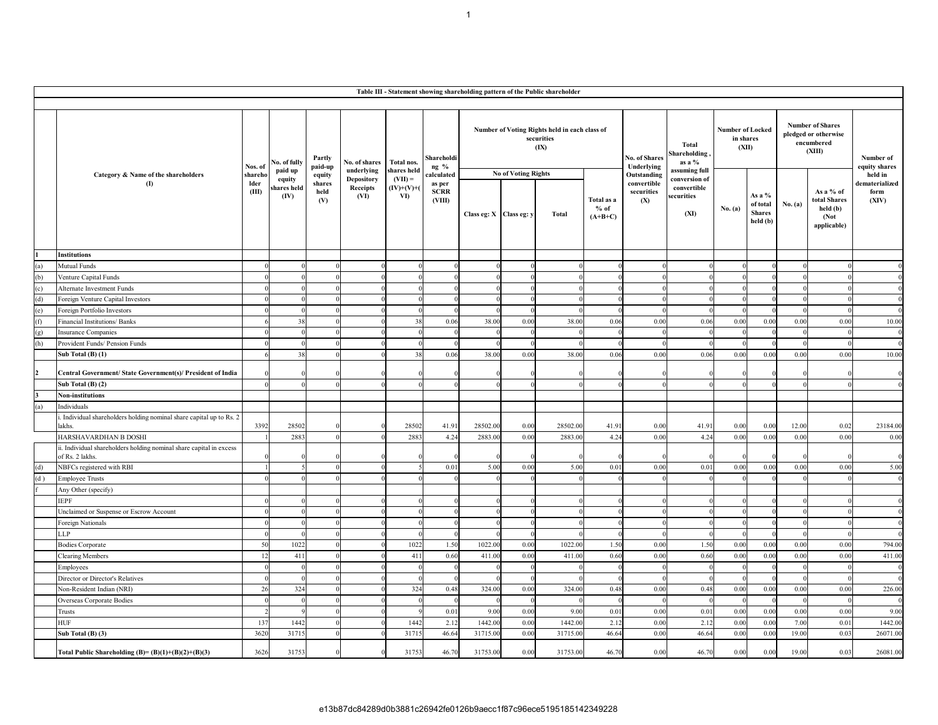|     | Table III - Statement showing shareholding pattern of the Public shareholder           |                                     |                                          |                                 |                                                               |                                                                 |                                                                        |                         |                            |                                                                     |                                                                |                                                               |                                                                     |         |                                                                         |          |                                                              |                                            |
|-----|----------------------------------------------------------------------------------------|-------------------------------------|------------------------------------------|---------------------------------|---------------------------------------------------------------|-----------------------------------------------------------------|------------------------------------------------------------------------|-------------------------|----------------------------|---------------------------------------------------------------------|----------------------------------------------------------------|---------------------------------------------------------------|---------------------------------------------------------------------|---------|-------------------------------------------------------------------------|----------|--------------------------------------------------------------|--------------------------------------------|
|     |                                                                                        |                                     |                                          |                                 |                                                               |                                                                 |                                                                        |                         |                            |                                                                     |                                                                |                                                               |                                                                     |         |                                                                         |          |                                                              |                                            |
|     |                                                                                        | Nos. of<br>shareho<br>lder<br>(III) | No. of fully                             | Partly<br>paid-up               | No. of shares<br>underlying<br>Depository<br>Receipts<br>(VI) | Total nos.<br>shares held<br>$(VII) =$<br>$(IV)+(V)+(V)$<br>VI) | Shareholdi<br>$ng \%$<br>calculated<br>as per<br><b>SCRR</b><br>(VIII) |                         |                            | Number of Voting Rights held in each class of<br>securities<br>(IX) | <b>Total</b><br>Shareholding<br><b>No. of Shares</b><br>as a % |                                                               | <b>Number of Locked</b><br>in shares<br>(XII)                       |         | <b>Number of Shares</b><br>pledged or otherwise<br>encumbered<br>(XIII) |          | Number of<br>equity shares                                   |                                            |
|     | Category & Name of the shareholders<br>$\mathbf{I}$                                    |                                     | paid up<br>equity<br>shares held<br>(IV) | equity<br>shares<br>held<br>(V) |                                                               |                                                                 |                                                                        | Class eg: X Class eg: y | <b>No of Voting Rights</b> | Total                                                               | Total as a<br>$%$ of<br>$(A+B+C)$                              | Underlying<br>Outstanding<br>convertible<br>securities<br>(X) | assuming full<br>conversion of<br>convertible<br>securities<br>(XI) | No. (a) | As a %<br>of total<br><b>Shares</b><br>held (b)                         | No. (a)  | As a % of<br>total Shares<br>held (b)<br>(Not<br>applicable) | held in<br>dematerialized<br>form<br>(XIV) |
|     | Institutions                                                                           |                                     |                                          |                                 |                                                               |                                                                 |                                                                        |                         |                            |                                                                     |                                                                |                                                               |                                                                     |         |                                                                         |          |                                                              |                                            |
|     | <b>Mutual Funds</b>                                                                    |                                     |                                          |                                 |                                                               |                                                                 |                                                                        |                         |                            |                                                                     |                                                                |                                                               |                                                                     |         |                                                                         |          |                                                              |                                            |
|     | Venture Capital Funds                                                                  |                                     |                                          |                                 |                                                               |                                                                 |                                                                        |                         |                            |                                                                     |                                                                |                                                               |                                                                     |         |                                                                         |          |                                                              |                                            |
|     | Alternate Investment Funds                                                             |                                     |                                          |                                 |                                                               |                                                                 |                                                                        |                         |                            |                                                                     |                                                                |                                                               |                                                                     |         |                                                                         |          |                                                              |                                            |
| (d) | Foreign Venture Capital Investors                                                      |                                     |                                          |                                 |                                                               |                                                                 |                                                                        |                         |                            |                                                                     |                                                                |                                                               |                                                                     |         |                                                                         |          |                                                              |                                            |
| (e) | Foreign Portfolio Investors                                                            |                                     |                                          |                                 |                                                               |                                                                 |                                                                        |                         |                            |                                                                     | $\Omega$                                                       |                                                               |                                                                     |         |                                                                         | $\Omega$ |                                                              |                                            |
| (f) | Financial Institutions/ Banks                                                          |                                     | 38                                       |                                 |                                                               | 38                                                              | 0.06                                                                   | 38.00                   | 0.00                       | 38.00                                                               | 0.06                                                           | 0.00                                                          | 0.06                                                                | 0.00    | 0.00                                                                    | 0.00     | 0.00                                                         | 10.00                                      |
|     | <b>Insurance Companies</b>                                                             |                                     |                                          |                                 |                                                               |                                                                 |                                                                        |                         |                            |                                                                     |                                                                |                                                               |                                                                     |         |                                                                         |          |                                                              |                                            |
|     | Provident Funds/ Pension Funds                                                         |                                     |                                          |                                 |                                                               |                                                                 |                                                                        |                         |                            |                                                                     |                                                                |                                                               |                                                                     |         |                                                                         |          |                                                              |                                            |
|     | Sub Total (B) (1)                                                                      |                                     | 38                                       |                                 |                                                               | 38                                                              | 0.06                                                                   | 38.00                   | 0.00                       | 38.00                                                               | 0.06                                                           | 0.00                                                          | 0.06                                                                | 0.00    | 0.00                                                                    | 0.00     | 0.00                                                         | 10.00                                      |
|     |                                                                                        |                                     |                                          |                                 |                                                               |                                                                 |                                                                        |                         |                            |                                                                     |                                                                |                                                               |                                                                     |         |                                                                         |          |                                                              |                                            |
|     | Central Government/ State Government(s)/ President of India                            |                                     |                                          |                                 |                                                               |                                                                 |                                                                        |                         |                            |                                                                     |                                                                |                                                               |                                                                     |         |                                                                         |          |                                                              |                                            |
|     | Sub Total (B) (2)                                                                      |                                     |                                          |                                 |                                                               |                                                                 |                                                                        |                         |                            |                                                                     |                                                                |                                                               |                                                                     |         |                                                                         |          |                                                              |                                            |
|     | <b>Non-institutions</b>                                                                |                                     |                                          |                                 |                                                               |                                                                 |                                                                        |                         |                            |                                                                     |                                                                |                                                               |                                                                     |         |                                                                         |          |                                                              |                                            |
| (a) | Individuals                                                                            |                                     |                                          |                                 |                                                               |                                                                 |                                                                        |                         |                            |                                                                     |                                                                |                                                               |                                                                     |         |                                                                         |          |                                                              |                                            |
|     | Individual shareholders holding nominal share capital up to Rs. 2<br>lakhs.            | 3392                                | 28502                                    |                                 |                                                               | 28502                                                           | 41.91                                                                  | 28502.00                | 0.00                       | 28502.00                                                            | 41.91                                                          | 0.00                                                          | 41.91                                                               | 0.00    | 0.00                                                                    | 12.00    | 0.02                                                         | 23184.00                                   |
|     | HARSHAVARDHAN B DOSHI                                                                  |                                     | 2883                                     |                                 |                                                               | 2883                                                            | 4.24                                                                   | 2883.00                 | 0.00                       | 2883.00                                                             | 4.24                                                           | 0.00                                                          | 4.24                                                                | 0.00    | 0.00                                                                    | 0.00     | 0.00                                                         | 0.00                                       |
|     | ii. Individual shareholders holding nominal share capital in excess<br>of Rs. 2 lakhs. |                                     |                                          |                                 |                                                               |                                                                 |                                                                        |                         |                            |                                                                     |                                                                |                                                               |                                                                     |         |                                                                         |          |                                                              |                                            |
| (d) | NBFCs registered with RBI                                                              |                                     |                                          |                                 |                                                               |                                                                 | 0.01                                                                   | 5.00                    | 0.00                       | 5.00                                                                | 0.01                                                           | 0.00                                                          | 0.01                                                                | 0.00    | 0.00                                                                    | 0.00     | 0.00                                                         | 5.00                                       |
|     | <b>Employee Trusts</b>                                                                 |                                     |                                          |                                 |                                                               |                                                                 |                                                                        |                         |                            |                                                                     |                                                                |                                                               |                                                                     |         |                                                                         |          |                                                              |                                            |
|     | Any Other (specify)                                                                    |                                     |                                          |                                 |                                                               |                                                                 |                                                                        |                         |                            |                                                                     |                                                                |                                                               |                                                                     |         |                                                                         |          |                                                              |                                            |
|     | <b>IEPF</b>                                                                            |                                     |                                          |                                 |                                                               |                                                                 |                                                                        |                         |                            |                                                                     |                                                                |                                                               |                                                                     |         |                                                                         |          |                                                              |                                            |
|     | Unclaimed or Suspense or Escrow Account                                                |                                     |                                          |                                 |                                                               |                                                                 |                                                                        |                         |                            |                                                                     |                                                                |                                                               |                                                                     |         |                                                                         |          |                                                              |                                            |
|     | Foreign Nationals                                                                      |                                     |                                          |                                 |                                                               |                                                                 |                                                                        |                         |                            |                                                                     | $\Omega$                                                       |                                                               |                                                                     |         |                                                                         | $\Omega$ |                                                              |                                            |
|     | LLP                                                                                    |                                     |                                          |                                 |                                                               |                                                                 |                                                                        |                         |                            |                                                                     |                                                                |                                                               |                                                                     |         |                                                                         |          |                                                              |                                            |
|     | <b>Bodies Corporate</b>                                                                | 50                                  | 1022                                     |                                 |                                                               | 1022                                                            | 1.50                                                                   | 1022.00                 | 0.00                       | 1022.00                                                             | 1.50                                                           | 0.00                                                          | 1.50                                                                | 0.00    | 0.00                                                                    | 0.00     | 0.00                                                         | 794.00                                     |
|     | <b>Clearing Members</b>                                                                | 12                                  | 411                                      |                                 |                                                               | 411                                                             | 0.60                                                                   | 411.00                  | 0.00                       | 411.00                                                              | 0.60                                                           | 0.00                                                          | 0.60                                                                | 0.00    | 0.00                                                                    | 0.00     | 0.00                                                         | 411.00                                     |
|     | Employees                                                                              |                                     |                                          |                                 |                                                               |                                                                 |                                                                        |                         |                            |                                                                     |                                                                |                                                               |                                                                     |         |                                                                         |          |                                                              |                                            |
|     | Director or Director's Relatives                                                       |                                     |                                          |                                 |                                                               |                                                                 |                                                                        |                         |                            |                                                                     |                                                                |                                                               |                                                                     |         |                                                                         |          |                                                              |                                            |
|     | Non-Resident Indian (NRI                                                               | 26                                  | 324                                      |                                 |                                                               | 324                                                             | 0.48                                                                   | 324.00                  | 0.00                       | 324.00                                                              | 0.48                                                           | 0.00                                                          | 0.48                                                                | 0.00    | 0.00                                                                    | 0.00     | 0.00                                                         | 226.00                                     |
|     | Overseas Corporate Bodies                                                              |                                     |                                          |                                 |                                                               |                                                                 |                                                                        |                         |                            |                                                                     |                                                                |                                                               |                                                                     |         |                                                                         |          |                                                              |                                            |
|     | Trusts                                                                                 |                                     |                                          |                                 |                                                               |                                                                 | 0.01                                                                   | 9.00                    | 0.00                       | 9.00                                                                | 0.01                                                           | 0.00                                                          | 0.01                                                                | 0.00    | 0.00                                                                    | 0.00     | 0.00                                                         | 9.00                                       |
|     | <b>HUF</b>                                                                             | 137                                 | 1442                                     |                                 |                                                               | 1442                                                            | 2.12                                                                   | 1442.00                 | 0.00                       | 1442.00                                                             | 2.12                                                           | 0.00                                                          | 2.12                                                                | 0.00    | 0.00                                                                    | 7.00     | 0.01                                                         | 1442.00                                    |
|     | Sub Total (B) (3)                                                                      | 3620                                | 31715                                    |                                 |                                                               | 31715                                                           | 46.64                                                                  | 31715.00                | 0.00                       | 31715.00                                                            | 46.64                                                          | 0.00                                                          | 46.64                                                               | 0.00    | 0.00                                                                    | 19.00    | 0.03                                                         | 26071.00                                   |
|     | Total Public Shareholding (B)= $(B)(1)+(B)(2)+(B)(3)$                                  | 3626                                | 31753                                    |                                 |                                                               | 31753                                                           | 46.70                                                                  | 31753.00                | 0.00                       | 31753.00                                                            | 46.70                                                          | 0.00                                                          | 46.70                                                               | 0.00    | 0.00                                                                    | 19.00    | 0.03                                                         | 26081.00                                   |